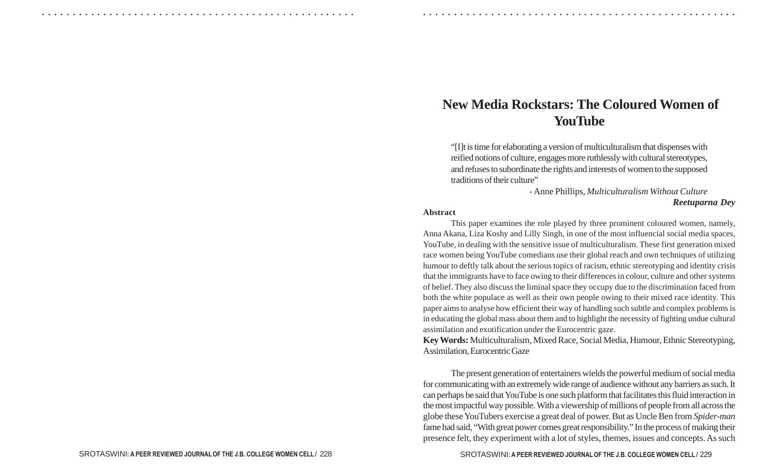# **New Media Rockstars: The Coloured Women of YouTube**

"[I]t is time for elaborating a version of multiculturalism that dispenses with reified notions of culture, engages more ruthlessly with cultural stereotypes, and refuses to subordinate the rights and interests of women to the supposed traditions of their culture"

> - Anne Phillips, *Multiculturalism Without Culture Reetuparna Dey*

#### **Abstract**

○ ○ ○ ○ ○ ○ ○ ○ ○ ○ ○ ○ ○ ○ ○ ○ ○ ○ ○ ○ ○ ○ ○ ○ ○ ○ ○ ○ ○ ○ ○ ○ ○ ○ ○ ○ ○ ○ ○ ○ ○ ○ ○ ○ ○ ○ ○ ○ ○ ○ ○ ○ ○ ○ ○ ○ ○ ○ ○ ○ ○ ○ ○ ○ ○ ○ ○ ○ ○ ○ ○ ○ ○ ○ ○ ○ ○ ○ ○ ○ ○ ○ ○ ○ ○ ○ ○ ○ ○ ○ ○ ○ ○ ○ ○ ○ ○ ○ ○ ○ ○ ○

This paper examines the role played by three prominent coloured women, namely, Anna Akana, Liza Koshy and Lilly Singh, in one of the most influencial social media spaces, YouTube, in dealing with the sensitive issue of multiculturalism. These first generation mixed race women being YouTube comedians use their global reach and own techniques of utilizing humour to deftly talk about the serious topics of racism, ethnic stereotyping and identity crisis that the immigrants have to face owing to their differences in colour, culture and other systems of belief. They also discuss the liminal space they occupy due to the discrimination faced from both the white populace as well as their own people owing to their mixed race identity. This paper aims to analyse how efficient their way of handling such subtle and complex problems is in educating the global mass about them and to highlight the necessity of fighting undue cultural assimilation and exotification under the Eurocentric gaze.

**Key Words:** Multiculturalism, Mixed Race, Social Media, Humour, Ethnic Stereotyping, Assimilation, Eurocentric Gaze

The present generation of entertainers wields the powerful medium of social media for communicating with an extremely wide range of audience without any barriers as such. It can perhaps be said that YouTube is one such platform that facilitates this fluid interaction in the most impactful way possible. With a viewership of millions of people from all across the globe these YouTubers exercise a great deal of power. But as Uncle Ben from *Spider-man* fame had said, "With great power comes great responsibility." In the process of making their presence felt, they experiment with a lot of styles, themes, issues and concepts. As such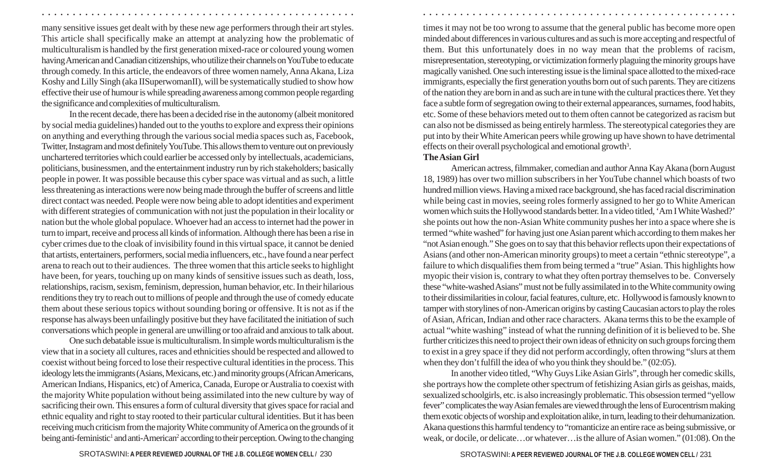many sensitive issues get dealt with by these new age performers through their art styles. This article shall specifically make an attempt at analyzing how the problematic of multiculturalism is handled by the first generation mixed-race or coloured young women having American and Canadian citizenships, who utilize their channels on YouTube to educate through comedy. In this article, the endeavors of three women namely, Anna Akana, Liza Koshy and Lilly Singh (aka IISuperwomanII), will be systematically studied to show how effective their use of humour is while spreading awareness among common people regarding the significance and complexities of multiculturalism.

In the recent decade, there has been a decided rise in the autonomy (albeit monitored by social media guidelines) handed out to the youths to explore and express their opinions on anything and everything through the various social media spaces such as, Facebook, Twitter, Instagram and most definitely YouTube. This allows them to venture out on previously unchartered territories which could earlier be accessed only by intellectuals, academicians, politicians, businessmen, and the entertainment industry run by rich stakeholders; basically people in power. It was possible because this cyber space was virtual and as such, a little less threatening as interactions were now being made through the buffer of screens and little direct contact was needed. People were now being able to adopt identities and experiment with different strategies of communication with not just the population in their locality or nation but the whole global populace. Whoever had an access to internet had the power in turn to impart, receive and process all kinds of information. Although there has been a rise in cyber crimes due to the cloak of invisibility found in this virtual space, it cannot be denied that artists, entertainers, performers, social media influencers, etc., have found a near perfect arena to reach out to their audiences. The three women that this article seeks to highlight have been, for years, touching up on many kinds of sensitive issues such as death, loss, relationships, racism, sexism, feminism, depression, human behavior, etc. In their hilarious renditions they try to reach out to millions of people and through the use of comedy educate them about these serious topics without sounding boring or offensive. It is not as if the response has always been unfailingly positive but they have facilitated the initiation of such conversations which people in general are unwilling or too afraid and anxious to talk about.

One such debatable issue is multiculturalism. In simple words multiculturalism is the view that in a society all cultures, races and ethnicities should be respected and allowed to coexist without being forced to lose their respective cultural identities in the process. This ideology lets the immigrants (Asians, Mexicans, etc.) and minority groups (African Americans, American Indians, Hispanics, etc) of America, Canada, Europe or Australia to coexist with the majority White population without being assimilated into the new culture by way of sacrificing their own. This ensures a form of cultural diversity that gives space for racial and ethnic equality and right to stay rooted to their particular cultural identities. But it has been receiving much criticism from the majority White community of America on the grounds of it being anti-feministic<sup>1</sup> and anti-American<sup>2</sup> according to their perception. Owing to the changing

times it may not be too wrong to assume that the general public has become more open minded about differences in various cultures and as such is more accepting and respectful of them. But this unfortunately does in no way mean that the problems of racism, misrepresentation, stereotyping, or victimization formerly plaguing the minority groups have magically vanished. One such interesting issue is the liminal space allotted to the mixed-race immigrants, especially the first generation youths born out of such parents. They are citizens of the nation they are born in and as such are in tune with the cultural practices there. Yet they face a subtle form of segregation owing to their external appearances, surnames, food habits, etc. Some of these behaviors meted out to them often cannot be categorized as racism but can also not be dismissed as being entirely harmless. The stereotypical categories they are put into by their White American peers while growing up have shown to have detrimental effects on their overall psychological and emotional growth<sup>3</sup>.

#### **The Asian Girl**

○ ○ ○ ○ ○ ○ ○ ○ ○ ○ ○ ○ ○ ○ ○ ○ ○ ○ ○ ○ ○ ○ ○ ○ ○ ○ ○ ○ ○ ○ ○ ○ ○ ○ ○ ○ ○ ○ ○ ○ ○ ○ ○ ○ ○ ○ ○ ○ ○ ○ ○ ○ ○ ○ ○ ○ ○ ○ ○ ○ ○ ○ ○ ○ ○ ○ ○ ○ ○ ○ ○ ○ ○ ○ ○ ○ ○ ○ ○ ○ ○ ○ ○ ○ ○ ○ ○ ○ ○ ○ ○ ○ ○ ○ ○ ○ ○ ○ ○ ○ ○ ○

American actress, filmmaker, comedian and author Anna Kay Akana (born August 18, 1989) has over two million subscribers in her YouTube channel which boasts of two hundred million views. Having a mixed race background, she has faced racial discrimination while being cast in movies, seeing roles formerly assigned to her go to White American women which suits the Hollywood standards better. In a video titled, 'Am I White Washed?' she points out how the non-Asian White community pushes her into a space where she is termed "white washed" for having just one Asian parent which according to them makes her "not Asian enough." She goes on to say that this behavior reflects upon their expectations of Asians (and other non-American minority groups) to meet a certain "ethnic stereotype", a failure to which disqualifies them from being termed a "true" Asian. This highlights how myopic their vision is, contrary to what they often portray themselves to be. Conversely these "white-washed Asians" must not be fully assimilated in to the White community owing to their dissimilarities in colour, facial features, culture, etc. Hollywood is famously known to tamper with storylines of non-American origins by casting Caucasian actors to play the roles of Asian, African, Indian and other race characters. Akana terms this to be the example of actual "white washing" instead of what the running definition of it is believed to be. She further criticizes this need to project their own ideas of ethnicity on such groups forcing them to exist in a grey space if they did not perform accordingly, often throwing "slurs at them when they don't fulfill the idea of who you think they should be." (02:05).

In another video titled, "Why Guys Like Asian Girls", through her comedic skills, she portrays how the complete other spectrum of fetishizing Asian girls as geishas, maids, sexualized schoolgirls, etc. is also increasingly problematic. This obsession termed "yellow fever" complicates the way Asian females are viewed through the lens of Eurocentrism making them exotic objects of worship and exploitation alike, in turn, leading to their dehumanization. Akana questions this harmful tendency to "romanticize an entire race as being submissive, or weak, or docile, or delicate…or whatever…is the allure of Asian women." (01:08). On the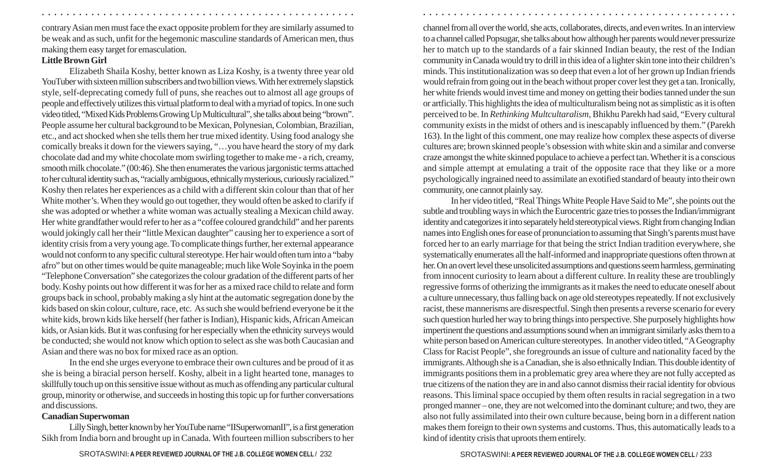contrary Asian men must face the exact opposite problem for they are similarly assumed to be weak and as such, unfit for the hegemonic masculine standards of American men, thus making them easy target for emasculation.

○ ○ ○ ○ ○ ○ ○ ○ ○ ○ ○ ○ ○ ○ ○ ○ ○ ○ ○ ○ ○ ○ ○ ○ ○ ○ ○ ○ ○ ○ ○ ○ ○ ○ ○ ○ ○ ○ ○ ○ ○ ○ ○ ○ ○ ○ ○ ○ ○ ○ ○ ○ ○ ○ ○ ○ ○ ○ ○ ○ ○ ○ ○ ○ ○ ○ ○ ○ ○ ○ ○ ○ ○ ○ ○ ○ ○ ○ ○ ○ ○ ○ ○ ○ ○ ○ ○ ○ ○ ○ ○ ○ ○ ○ ○ ○ ○ ○ ○ ○ ○ ○

#### **Little Brown Girl**

Elizabeth Shaila Koshy, better known as Liza Koshy, is a twenty three year old YouTuber with sixteen million subscribers and two billion views. With her extremely slapstick style, self-deprecating comedy full of puns, she reaches out to almost all age groups of people and effectively utilizes this virtual platform to deal with a myriad of topics. In one such video titled, "Mixed Kids Problems Growing Up Multicultural", she talks about being "brown". People assume her cultural background to be Mexican, Polynesian, Colombian, Brazilian, etc., and act shocked when she tells them her true mixed identity. Using food analogy she comically breaks it down for the viewers saying, "…you have heard the story of my dark chocolate dad and my white chocolate mom swirling together to make me - a rich, creamy, smooth milk chocolate." (00:46). She then enumerates the various jargonistic terms attached to her cultural identity such as, "racially ambiguous, ethnically mysterious, curiously racialized." Koshy then relates her experiences as a child with a different skin colour than that of her White mother's. When they would go out together, they would often be asked to clarify if she was adopted or whether a white woman was actually stealing a Mexican child away. Her white grandfather would refer to her as a "coffee coloured grandchild" and her parents would jokingly call her their "little Mexican daughter" causing her to experience a sort of identity crisis from a very young age. To complicate things further, her external appearance would not conform to any specific cultural stereotype. Her hair would often turn into a "baby afro" but on other times would be quite manageable; much like Wole Soyinka in the poem "Telephone Conversation" she categorizes the colour gradation of the different parts of her body. Koshy points out how different it was for her as a mixed race child to relate and form groups back in school, probably making a sly hint at the automatic segregation done by the kids based on skin colour, culture, race, etc. As such she would befriend everyone be it the white kids, brown kids like herself (her father is Indian), Hispanic kids, African Ameican kids, or Asian kids. But it was confusing for her especially when the ethnicity surveys would be conducted; she would not know which option to select as she was both Caucasian and Asian and there was no box for mixed race as an option.

In the end she urges everyone to embrace their own cultures and be proud of it as she is being a biracial person herself. Koshy, albeit in a light hearted tone, manages to skillfully touch up on this sensitive issue without as much as offending any particular cultural group, minority or otherwise, and succeeds in hosting this topic up for further conversations and discussions.

#### **Canadian Superwoman**

Lilly Singh, better known by her YouTube name "IISuperwomanII", is a first generation Sikh from India born and brought up in Canada. With fourteen million subscribers to her

channel from all over the world, she acts, collaborates, directs, and even writes. In an interview to a channel called Popsugar, she talks about how although her parents would never pressurize her to match up to the standards of a fair skinned Indian beauty, the rest of the Indian community in Canada would try to drill in this idea of a lighter skin tone into their children's minds. This institutionalization was so deep that even a lot of her grown up Indian friends would refrain from going out in the beach without proper cover lest they get a tan. Ironically, her white friends would invest time and money on getting their bodies tanned under the sun or artficially. This highlights the idea of multiculturalism being not as simplistic as it is often perceived to be. In *Rethinking Multcultaralism,* Bhikhu Parekh had said, "Every cultural community exists in the midst of others and is inescapably influenced by them." (Parekh 163). In the light of this comment, one may realize how complex these aspects of diverse cultures are; brown skinned people's obsession with white skin and a similar and converse craze amongst the white skinned populace to achieve a perfect tan. Whether it is a conscious and simple attempt at emulating a trait of the opposite race that they like or a more psychologically ingrained need to assimilate an exotified standard of beauty into their own community, one cannot plainly say.

In her video titled, "Real Things White People Have Said to Me", she points out the subtle and troubling ways in which the Eurocentric gaze tries to posses the Indian/immigrant identity and categorizes it into separately held stereotypical views. Right from changing Indian names into English ones for ease of pronunciation to assuming that Singh's parents must have forced her to an early marriage for that being the strict Indian tradition everywhere, she systematically enumerates all the half-informed and inappropriate questions often thrown at her. On an overt level these unsolicited assumptions and questions seem harmless, germinating from innocent curiosity to learn about a different culture. In reality these are troublingly regressive forms of otherizing the immigrants as it makes the need to educate oneself about a culture unnecessary, thus falling back on age old stereotypes repeatedly. If not exclusively racist, these mannerisms are disrespectful. Singh then presents a reverse scenario for every such question hurled her way to bring things into perspective. She purposely highlights how impertinent the questions and assumptions sound when an immigrant similarly asks them to a white person based on American culture stereotypes. In another video titled, "A Geography Class for Racist People", she foregrounds an issue of culture and nationality faced by the immigrants. Although she is a Canadian, she is also ethnically Indian. This double identity of immigrants positions them in a problematic grey area where they are not fully accepted as true citizens of the nation they are in and also cannot dismiss their racial identity for obvious reasons. This liminal space occupied by them often results in racial segregation in a two pronged manner – one, they are not welcomed into the dominant culture; and two, they are also not fully assimilated into their own culture because, being born in a different nation makes them foreign to their own systems and customs. Thus, this automatically leads to a kind of identity crisis that uproots them entirely.

SROTASWINI: A PEER REVIEWED JOURNAL OF THE J.B. COLLEGE WOMEN CELL / 232 **2008 SELL A SALL A SALL A SALL A SALL A SALL A SALL A SALL A SALL A SALL A SALL A SALL A SALL A SALL A SALL A SALL A SALL A SALL A SALL A SALL A SAL**